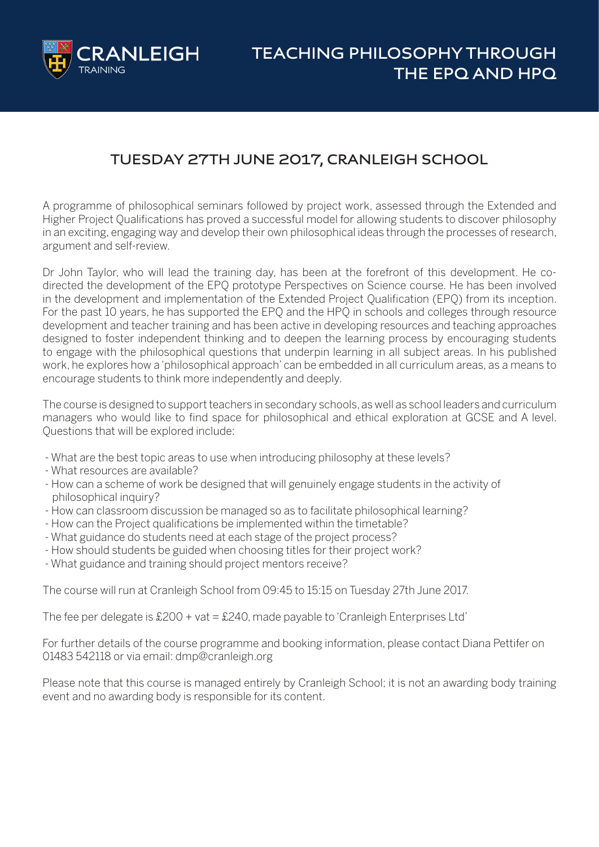

# **TUESDAY 27TH JUNE 2017, CRANLEIGH SCHOOL**

A programme of philosophical seminars followed by project work, assessed through the Extended and Higher Project Qualifications has proved a successful model for allowing students to discover philosophy in an exciting, engaging way and develop their own philosophical ideas through the processes of research, argument and self-review.

Dr John Taylor, who will lead the training day, has been at the forefront of this development. He codirected the development of the EPQ prototype Perspectives on Science course. He has been involved in the development and implementation of the Extended Project Qualification (EPQ) from its inception. For the past 10 years, he has supported the EPQ and the HPQ in schools and colleges through resource development and teacher training and has been active in developing resources and teaching approaches designed to foster independent thinking and to deepen the learning process by encouraging students to engage with the philosophical questions that underpin learning in all subject areas. In his published work, he explores how a 'philosophical approach' can be embedded in all curriculum areas, as a means to encourage students to think more independently and deeply.

The course is designed to support teachers in secondary schools, as well as school leaders and curriculum managers who would like to find space for philosophical and ethical exploration at GCSE and A level. Questions that will be explored include:

- What are the best topic areas to use when introducing philosophy at these levels?
- What resources are available?
- How can a scheme of work be designed that will genuinely engage students in the activity of philosophical inquiry?
- How can classroom discussion be managed so as to facilitate philosophical learning?
- How can the Project qualifications be implemented within the timetable?
- What guidance do students need at each stage of the project process?
- How should students be guided when choosing titles for their project work?
- What guidance and training should project mentors receive?

The course will run at Cranleigh School from 09:45 to 15:15 on Tuesday 27th June 2017.

The fee per delegate is  $£200 + vat = £240$ , made payable to 'Cranleigh Enterprises Ltd'

For further details of the course programme and booking information, please contact Diana Pettifer on 01483 542118 or via email: dmp@cranleigh.org

Please note that this course is managed entirely by Cranleigh School; it is not an awarding body training event and no awarding body is responsible for its content.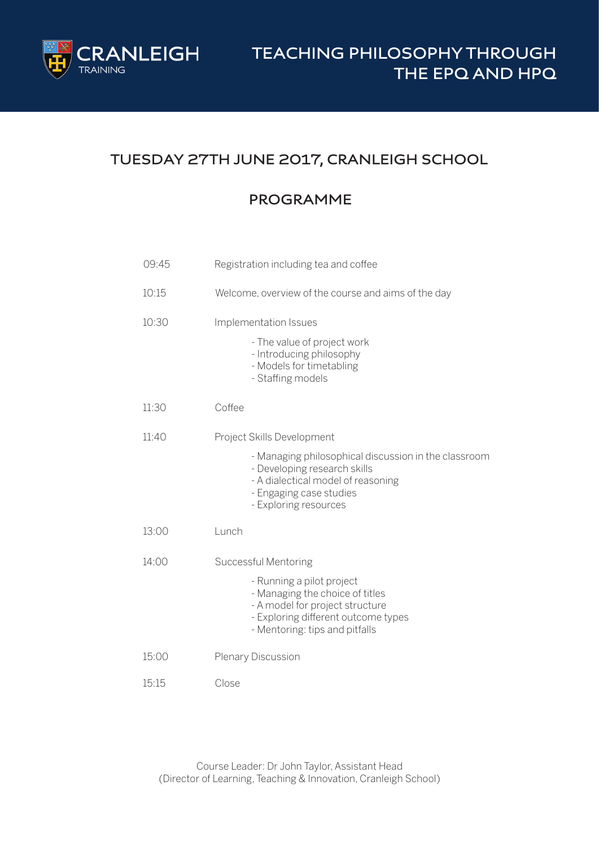

# **TUESDAY 27TH JUNE 2017, CRANLEIGH SCHOOL**

#### **PROGRAMME**

| 09:45 | Registration including tea and coffee                                                                                                                                                                        |
|-------|--------------------------------------------------------------------------------------------------------------------------------------------------------------------------------------------------------------|
| 10:15 | Welcome, overview of the course and aims of the day                                                                                                                                                          |
| 10:30 | Implementation Issues<br>- The value of project work<br>- Introducing philosophy<br>- Models for timetabling<br>- Staffing models                                                                            |
| 11:30 | Coffee                                                                                                                                                                                                       |
| 11:40 | Project Skills Development<br>- Managing philosophical discussion in the classroom<br>- Developing research skills<br>- A dialectical model of reasoning<br>- Engaging case studies<br>- Exploring resources |
| 13:00 | Lunch                                                                                                                                                                                                        |
| 14:00 | Successful Mentoring<br>- Running a pilot project<br>- Managing the choice of titles<br>- A model for project structure<br>- Exploring different outcome types<br>- Mentoring: tips and pitfalls             |
| 15:00 | <b>Plenary Discussion</b>                                                                                                                                                                                    |
| 15:15 | Close                                                                                                                                                                                                        |

Course Leader: Dr John Taylor, Assistant Head (Director of Learning, Teaching & Innovation, Cranleigh School)